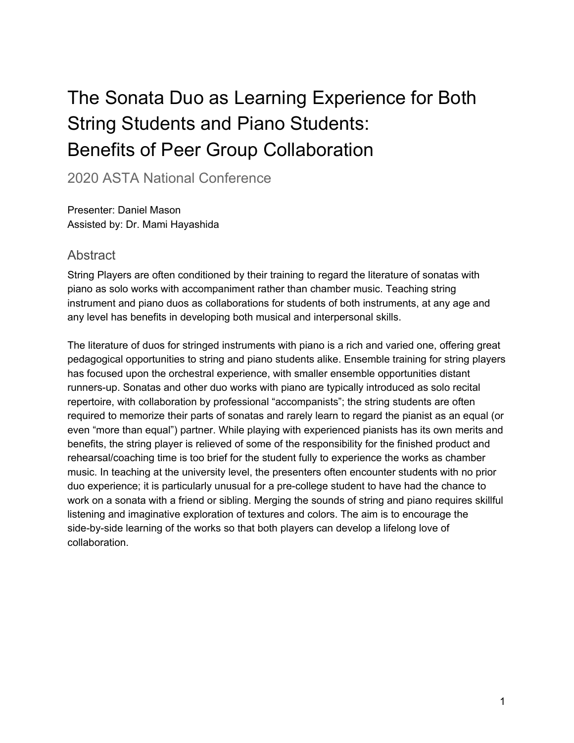# The Sonata Duo as Learning Experience for Both String Students and Piano Students: Benefits of Peer Group Collaboration

2020 ASTA National Conference

Presenter: Daniel Mason Assisted by: Dr. Mami Hayashida

#### **Abstract**

String Players are often conditioned by their training to regard the literature of sonatas with piano as solo works with accompaniment rather than chamber music. Teaching string instrument and piano duos as collaborations for students of both instruments, at any age and any level has benefits in developing both musical and interpersonal skills.

The literature of duos for stringed instruments with piano is a rich and varied one, offering great pedagogical opportunities to string and piano students alike. Ensemble training for string players has focused upon the orchestral experience, with smaller ensemble opportunities distant runners-up. Sonatas and other duo works with piano are typically introduced as solo recital repertoire, with collaboration by professional "accompanists"; the string students are often required to memorize their parts of sonatas and rarely learn to regard the pianist as an equal (or even "more than equal") partner. While playing with experienced pianists has its own merits and benefits, the string player is relieved of some of the responsibility for the finished product and rehearsal/coaching time is too brief for the student fully to experience the works as chamber music. In teaching at the university level, the presenters often encounter students with no prior duo experience; it is particularly unusual for a pre-college student to have had the chance to work on a sonata with a friend or sibling. Merging the sounds of string and piano requires skillful listening and imaginative exploration of textures and colors. The aim is to encourage the side-by-side learning of the works so that both players can develop a lifelong love of collaboration.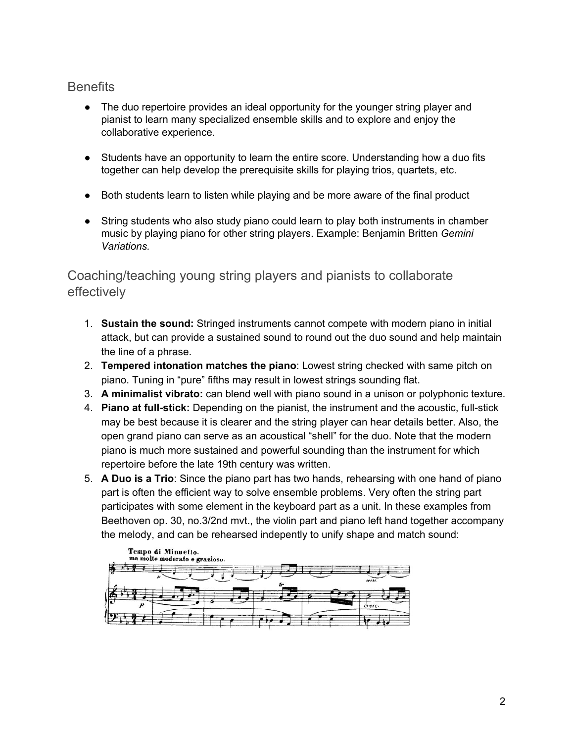## **Benefits**

- The duo repertoire provides an ideal opportunity for the younger string player and pianist to learn many specialized ensemble skills and to explore and enjoy the collaborative experience.
- Students have an opportunity to learn the entire score. Understanding how a duo fits together can help develop the prerequisite skills for playing trios, quartets, etc.
- Both students learn to listen while playing and be more aware of the final product
- String students who also study piano could learn to play both instruments in chamber music by playing piano for other string players. Example: Benjamin Britten *Gemini Variations.*

## Coaching/teaching young string players and pianists to collaborate effectively

- 1. **Sustain the sound:** Stringed instruments cannot compete with modern piano in initial attack, but can provide a sustained sound to round out the duo sound and help maintain the line of a phrase.
- 2. **Tempered intonation matches the piano**: Lowest string checked with same pitch on piano. Tuning in "pure" fifths may result in lowest strings sounding flat.
- 3. **A minimalist vibrato:** can blend well with piano sound in a unison or polyphonic texture.
- 4. **Piano at full-stick:** Depending on the pianist, the instrument and the acoustic, full-stick may be best because it is clearer and the string player can hear details better. Also, the open grand piano can serve as an acoustical "shell" for the duo. Note that the modern piano is much more sustained and powerful sounding than the instrument for which repertoire before the late 19th century was written.
- 5. **A Duo is a Trio**: Since the piano part has two hands, rehearsing with one hand of piano part is often the efficient way to solve ensemble problems. Very often the string part participates with some element in the keyboard part as a unit. In these examples from Beethoven op. 30, no.3/2nd mvt., the violin part and piano left hand together accompany the melody, and can be rehearsed indepently to unify shape and match sound:

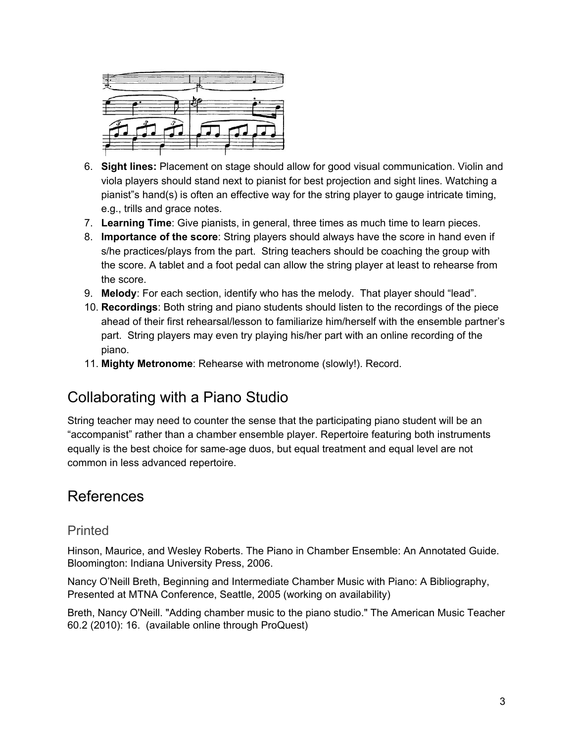

- 6. **Sight lines:** Placement on stage should allow for good visual communication. Violin and viola players should stand next to pianist for best projection and sight lines. Watching a pianist"s hand(s) is often an effective way for the string player to gauge intricate timing, e.g., trills and grace notes.
- 7. **Learning Time**: Give pianists, in general, three times as much time to learn pieces.
- 8. **Importance of the score**: String players should always have the score in hand even if s/he practices/plays from the part. String teachers should be coaching the group with the score. A tablet and a foot pedal can allow the string player at least to rehearse from the score.
- 9. **Melody**: For each section, identify who has the melody. That player should "lead".
- 10. **Recordings**: Both string and piano students should listen to the recordings of the piece ahead of their first rehearsal/lesson to familiarize him/herself with the ensemble partner's part. String players may even try playing his/her part with an online recording of the piano.
- 11. **Mighty Metronome**: Rehearse with metronome (slowly!). Record.

## Collaborating with a Piano Studio

String teacher may need to counter the sense that the participating piano student will be an "accompanist" rather than a chamber ensemble player. Repertoire featuring both instruments equally is the best choice for same-age duos, but equal treatment and equal level are not common in less advanced repertoire.

## References

## Printed

Hinson, Maurice, and Wesley Roberts. The Piano in Chamber Ensemble: An Annotated Guide. Bloomington: Indiana University Press, 2006.

Nancy O'Neill Breth, Beginning and Intermediate Chamber Music with Piano: A Bibliography, Presented at MTNA Conference, Seattle, 2005 (working on availability)

Breth, Nancy O'Neill. "Adding chamber music to the piano studio." The American Music Teacher 60.2 (2010): 16. (available online through ProQuest)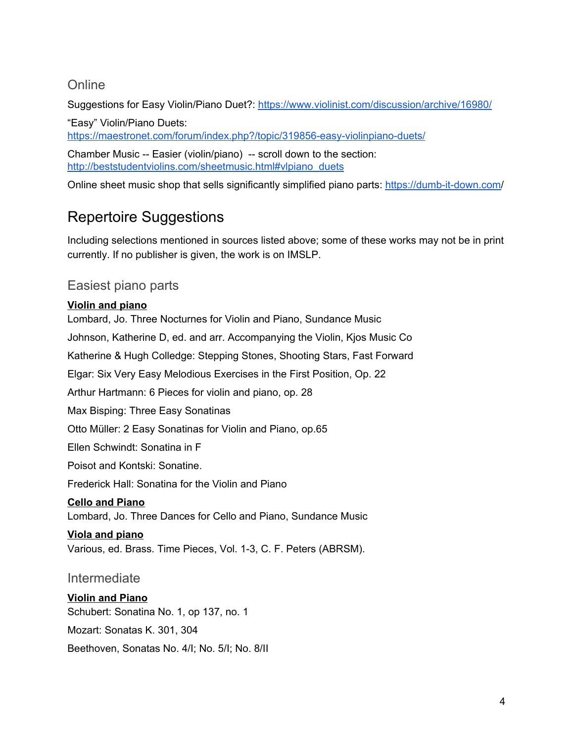## **Online**

Suggestions for Easy Violin/Piano Duet?: <https://www.violinist.com/discussion/archive/16980/>

"Easy" Violin/Piano Duets: <https://maestronet.com/forum/index.php?/topic/319856-easy-violinpiano-duets/>

Chamber Music -- Easier (violin/piano) -- scroll down to the section: [http://beststudentviolins.com/sheetmusic.html#vlpiano\\_duets](http://beststudentviolins.com/sheetmusic.html#vlpiano_duets)

Online sheet music shop that sells significantly simplified piano parts: <https://dumb-it-down.com/>

## Repertoire Suggestions

Including selections mentioned in sources listed above; some of these works may not be in print currently. If no publisher is given, the work is on IMSLP.

## Easiest piano parts

#### **Violin and piano**

Lombard, Jo. Three Nocturnes for Violin and Piano, Sundance Music Johnson, Katherine D, ed. and arr. Accompanying the Violin, Kjos Music Co Katherine & Hugh Colledge: Stepping Stones, Shooting Stars, Fast Forward Elgar: Six Very Easy Melodious Exercises in the First Position, Op. 22 Arthur Hartmann: 6 Pieces for violin and piano, op. 28 Max Bisping: Three Easy Sonatinas Otto Müller: 2 Easy Sonatinas for Violin and Piano, op.65 Ellen Schwindt: Sonatina in F Poisot and Kontski: Sonatine. Frederick Hall: Sonatina for the Violin and Piano **Cello and Piano** Lombard, Jo. Three Dances for Cello and Piano, Sundance Music **Viola and piano** Various, ed. Brass. Time Pieces, Vol. 1-3, C. F. Peters (ABRSM). Intermediate **Violin and Piano** Schubert: Sonatina No. 1, op 137, no. 1

Mozart: Sonatas K. 301, 304

Beethoven, Sonatas No. 4/I; No. 5/I; No. 8/II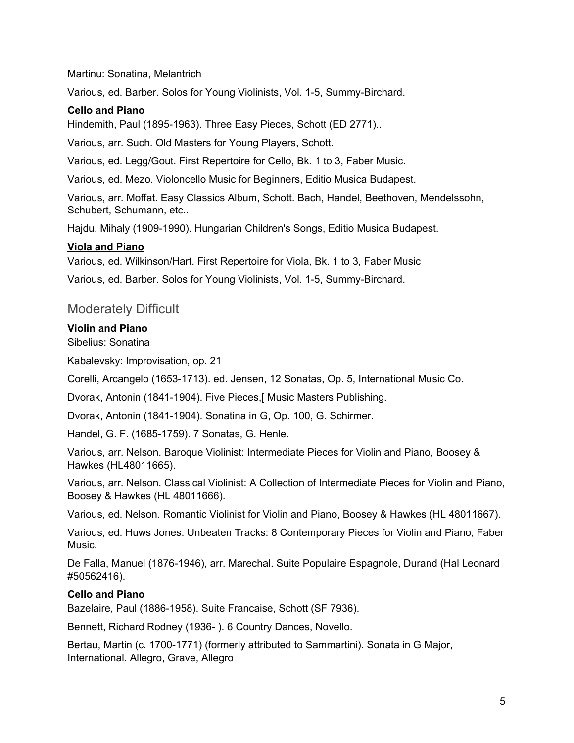Martinu: Sonatina, Melantrich

Various, ed. Barber. Solos for Young Violinists, Vol. 1-5, Summy-Birchard.

#### **Cello and Piano**

Hindemith, Paul (1895-1963). Three Easy Pieces, Schott (ED 2771)..

Various, arr. Such. Old Masters for Young Players, Schott.

Various, ed. Legg/Gout. First Repertoire for Cello, Bk. 1 to 3, Faber Music.

Various, ed. Mezo. Violoncello Music for Beginners, Editio Musica Budapest.

Various, arr. Moffat. Easy Classics Album, Schott. Bach, Handel, Beethoven, Mendelssohn, Schubert, Schumann, etc..

Hajdu, Mihaly (1909-1990). Hungarian Children's Songs, Editio Musica Budapest.

#### **Viola and Piano**

Various, ed. Wilkinson/Hart. First Repertoire for Viola, Bk. 1 to 3, Faber Music

Various, ed. Barber. Solos for Young Violinists, Vol. 1-5, Summy-Birchard.

#### Moderately Difficult

#### **Violin and Piano**

Sibelius: Sonatina

Kabalevsky: Improvisation, op. 21

Corelli, Arcangelo (1653-1713). ed. Jensen, 12 Sonatas, Op. 5, International Music Co.

Dvorak, Antonin (1841-1904). Five Pieces,[ Music Masters Publishing.

Dvorak, Antonin (1841-1904). Sonatina in G, Op. 100, G. Schirmer.

Handel, G. F. (1685-1759). 7 Sonatas, G. Henle.

Various, arr. Nelson. Baroque Violinist: Intermediate Pieces for Violin and Piano, Boosey & Hawkes (HL48011665).

Various, arr. Nelson. Classical Violinist: A Collection of Intermediate Pieces for Violin and Piano, Boosey & Hawkes (HL 48011666).

Various, ed. Nelson. Romantic Violinist for Violin and Piano, Boosey & Hawkes (HL 48011667).

Various, ed. Huws Jones. Unbeaten Tracks: 8 Contemporary Pieces for Violin and Piano, Faber Music.

De Falla, Manuel (1876-1946), arr. Marechal. Suite Populaire Espagnole, Durand (Hal Leonard #50562416).

#### **Cello and Piano**

Bazelaire, Paul (1886-1958). Suite Francaise, Schott (SF 7936).

Bennett, Richard Rodney (1936- ). 6 Country Dances, Novello.

Bertau, Martin (c. 1700-1771) (formerly attributed to Sammartini). Sonata in G Major, International. Allegro, Grave, Allegro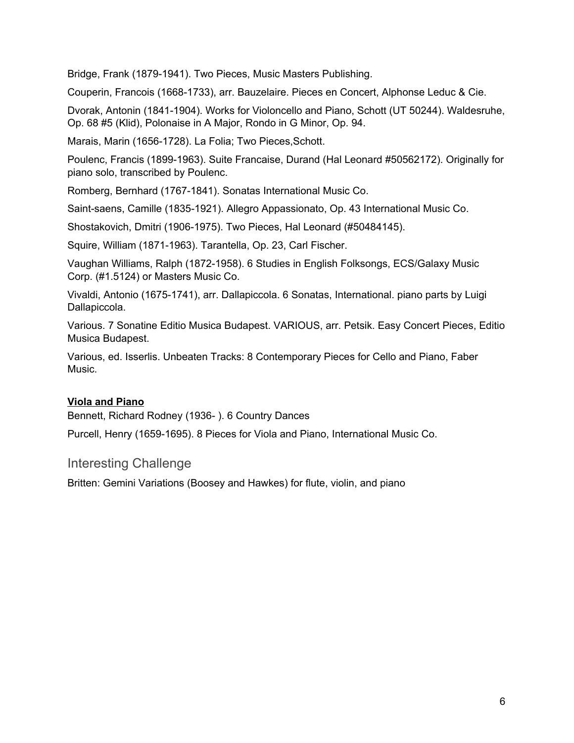Bridge, Frank (1879-1941). Two Pieces, Music Masters Publishing.

Couperin, Francois (1668-1733), arr. Bauzelaire. Pieces en Concert, Alphonse Leduc & Cie.

Dvorak, Antonin (1841-1904). Works for Violoncello and Piano, Schott (UT 50244). Waldesruhe, Op. 68 #5 (Klid), Polonaise in A Major, Rondo in G Minor, Op. 94.

Marais, Marin (1656-1728). La Folia; Two Pieces,Schott.

Poulenc, Francis (1899-1963). Suite Francaise, Durand (Hal Leonard #50562172). Originally for piano solo, transcribed by Poulenc.

Romberg, Bernhard (1767-1841). Sonatas International Music Co.

Saint-saens, Camille (1835-1921). Allegro Appassionato, Op. 43 International Music Co.

Shostakovich, Dmitri (1906-1975). Two Pieces, Hal Leonard (#50484145).

Squire, William (1871-1963). Tarantella, Op. 23, Carl Fischer.

Vaughan Williams, Ralph (1872-1958). 6 Studies in English Folksongs, ECS/Galaxy Music Corp. (#1.5124) or Masters Music Co.

Vivaldi, Antonio (1675-1741), arr. Dallapiccola. 6 Sonatas, International. piano parts by Luigi Dallapiccola.

Various. 7 Sonatine Editio Musica Budapest. VARIOUS, arr. Petsik. Easy Concert Pieces, Editio Musica Budapest.

Various, ed. Isserlis. Unbeaten Tracks: 8 Contemporary Pieces for Cello and Piano, Faber Music.

#### **Viola and Piano**

Bennett, Richard Rodney (1936- ). 6 Country Dances

Purcell, Henry (1659-1695). 8 Pieces for Viola and Piano, International Music Co.

#### Interesting Challenge

Britten: Gemini Variations (Boosey and Hawkes) for flute, violin, and piano